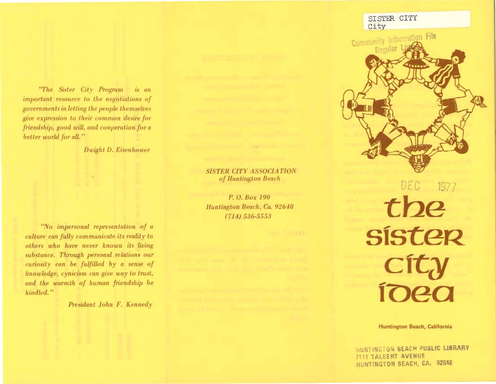"The Sister City Program is an important resource to the negotiations of governments in letting the people themselves give expression to their common desire for friendship, good will, and cooperation for a better world for all."

Dwight D. Eisenhower

"No impersonal representation of a culture can fully communicate its reality to others who have never known its living substance. Through personal relations our curiosity can be fulfilled by a sense of knowledge, cynicism can give way to trust, and the warmth of human friendship be kindled."

President John F. Kennedy

## **SISTER CITY ASSOCIATION** of Huntington Beach

P. O. Box 190 Huntington Beach, Ca. 92648  $(714) 536 - 5553$ 



DEC 1977 the SÍSTER city<br>ioea

Huntington Beach, California

HUNTINGTON BEACH PUBLIC LIBRARY 7111 TALDERT AVENUE HUNTINGTON BEACH, CA. 92648